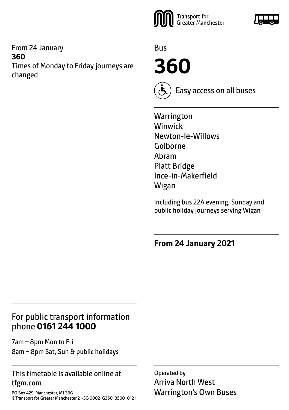#### From 24 January **360** Times of Monday to Friday journeys are changed



Bus

**360**



Easy access on all buses

**Warrington** Winwick Newton-le-Willows Golborne Abram Platt Bridge Ince-in-Makerfield Wigan

Including bus 22A evening, Sunday and public holiday journeys serving Wigan

**From 24 January 2021**

# For public transport information phone **0161 244 1000**

7am – 8pm Mon to Fri 8am – 8pm Sat, Sun & public holidays

#### This timetable is available online at tfgm.com

PO Box 429, Manchester, M1 3BG ©Transport for Greater Manchester 21-SC-0002–G360–3500–0121

Operated by Arriva North West Warrington's Own Buses

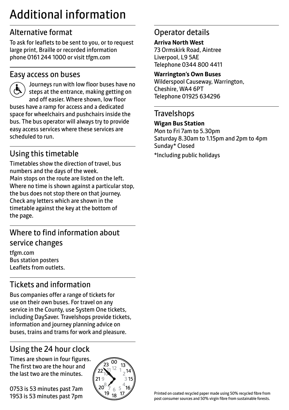# Additional information

# Alternative format

To ask for leaflets to be sent to you, or to request large print, Braille or recorded information phone 0161 244 1000 or visit tfgm.com

#### Easy access on buses



 Journeys run with low floor buses have no steps at the entrance, making getting on and off easier. Where shown, low floor buses have a ramp for access and a dedicated space for wheelchairs and pushchairs inside the bus. The bus operator will always try to provide easy access services where these services are scheduled to run.

# Using this timetable

Timetables show the direction of travel, bus numbers and the days of the week. Main stops on the route are listed on the left. Where no time is shown against a particular stop, the bus does not stop there on that journey. Check any letters which are shown in the timetable against the key at the bottom of the page.

# Where to find information about service changes

tfgm.com Bus station posters Leaflets from outlets.

# Tickets and information

Bus companies offer a range of tickets for use on their own buses. For travel on any service in the County, use System One tickets, including DaySaver. Travelshops provide tickets, information and journey planning advice on buses, trains and trams for work and pleasure.

# Using the 24 hour clock

Times are shown in four figures. The first two are the hour and the last two are the minutes.

0753 is 53 minutes past 7am 1953 is 53 minutes past 7pm



# Operator details

**Arriva North West** 73 Ormskirk Road, Aintree Liverpool, L9 5AE Telephone 0344 800 4411

#### **Warrington's Own Buses**

Wilderspool Causeway, Warrington, Cheshire, WA4 6PT Telephone 01925 634296

### **Travelshops**

#### **Wigan Bus Station**

Mon to Fri 7am to 5.30pm Saturday 8.30am to 1.15pm and 2pm to 4pm Sunday\* Closed \*Including public holidays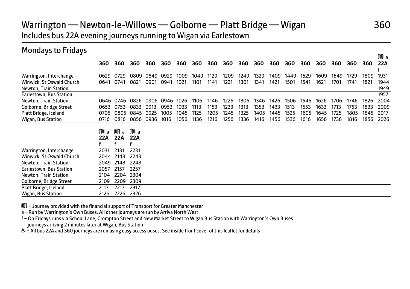#### Warrington — Newton-le-Willows — Golborne — Platt Bridge — Wigan 360 Includes bus 22A evening journeys running to Wigan via Earlestown

| <b>Mondays to Fridays</b> |      |      |      |      |      |      |      |      |      |      |      |      |      |      |      |      |      |      |      |
|---------------------------|------|------|------|------|------|------|------|------|------|------|------|------|------|------|------|------|------|------|------|
|                           |      |      |      |      |      |      |      |      |      |      |      |      |      |      |      |      |      |      | Ma   |
|                           | 360  | 360  | 360  | 360  | 360  | 360  | 360  | 360  | 360  | 360  | 360  | 360  | 360  | 360  | 360  | 360  | 360  | 360  | 22A  |
| Warrington, Interchange   | 0629 | 0729 | 0809 | 0849 | 0929 | 1009 | 1049 | 1129 | 1209 | 1249 | 1329 | 1409 | 1449 | 1529 | 1609 | 1649 | 1729 | 1809 | 1931 |
| Winwick, St Oswald Church | 0641 | 0741 | 0821 | 0901 | 0941 | 1021 | 1101 | 1141 | 1221 | 1301 | 1341 | 1421 | 1501 | 1541 | 1621 | 1701 | 1741 | 1821 | 1944 |
| Newton, Train Station     |      |      |      |      |      |      |      |      |      |      |      |      |      |      |      |      |      |      | 1949 |
| Earlestown, Bus Station   |      |      |      |      |      |      |      |      |      |      |      |      |      |      |      |      |      |      | 1957 |
| Newton, Train Station     | 0646 | 0746 | 0826 | 0906 | 0946 | 1026 | 1106 | 1146 | 1226 | 1306 | 1346 | 1426 | 1506 | 1546 | 1626 | 1706 | 1746 | 1826 | 2004 |
| Golborne, Bridge Street   | 0653 | 0753 | 0833 | 0913 | 0953 | 1033 | 1113 | 1153 | 1233 | 1313 | 1353 | 1433 | 1513 | 1553 | 1633 | 1713 | 1753 | 1833 | 2009 |
| Platt Bridge, Iceland     | 0705 | 0805 | 0845 | 0925 | 1005 | 1045 | 1125 | 1205 | 1245 | 1325 | 1405 | 1445 | 1525 | 1605 | 1645 | 1725 | 1805 | 1845 | 2017 |
| Wigan, Bus Station        | 0716 | 0816 | 0856 | 0936 | 1016 | 1056 | 1136 | 1216 | 1256 | 1336 | 1416 | 1456 | 1536 | 1616 | 1656 | 1736 | 1816 | 1856 | 2026 |
|                           |      |      |      |      |      |      |      |      |      |      |      |      |      |      |      |      |      |      |      |
|                           | Ma   | Ma   | Ma   |      |      |      |      |      |      |      |      |      |      |      |      |      |      |      |      |
|                           | 22A  | 22A  | 22A  |      |      |      |      |      |      |      |      |      |      |      |      |      |      |      |      |
| Warrington, Interchange   | 2031 | 2131 | 2231 |      |      |      |      |      |      |      |      |      |      |      |      |      |      |      |      |
| Winwick, St Oswald Church | 2044 | 2143 | 2243 |      |      |      |      |      |      |      |      |      |      |      |      |      |      |      |      |
| Newton, Train Station     | 2049 | 2148 | 2248 |      |      |      |      |      |      |      |      |      |      |      |      |      |      |      |      |
| Earlestown, Bus Station   | 2057 | 2157 | 2257 |      |      |      |      |      |      |      |      |      |      |      |      |      |      |      |      |
| Newton, Train Station     | 2104 | 2204 | 2304 |      |      |      |      |      |      |      |      |      |      |      |      |      |      |      |      |
| Golborne, Bridge Street   | 2109 | 2209 | 2309 |      |      |      |      |      |      |      |      |      |      |      |      |      |      |      |      |
| Platt Bridge, Iceland     | 2117 | 2217 | 2317 |      |      |      |      |      |      |      |      |      |      |      |      |      |      |      |      |
| Wigan, Bus Station        | 2126 | 2226 | 2326 |      |      |      |      |      |      |      |      |      |      |      |      |      |      |      |      |

M – Journey provided with the financial support of Transport for Greater Manchester

a – Run by Warrington's Own Buses. All other journeys are run by Arriva North West

f – On Fridays runs via School Lane, Crompton Street and New Market Street to Wigan Bus Station with Warrington's Own Buses journeys arriving 2 minutes later at Wigan, Bus Station

W– All bus 22A and 360 journeys are run using easy access buses. See inside front cover of this leaflet for details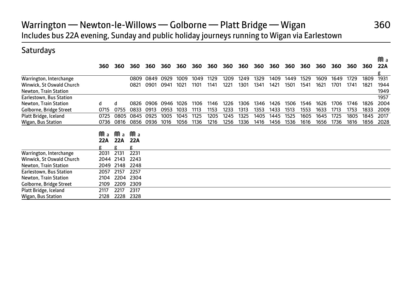# Warrington — Newton-le-Willows — Golborne — Platt Bridge — Wigan 360 Includes bus 22A evening, Sunday and public holiday journeys running to Wigan via Earlestown

#### **Saturdays**

|                           |      |      |      |      |      |      |      |      |      |      |      |      |      |      |      |      |      |      | Ma   |
|---------------------------|------|------|------|------|------|------|------|------|------|------|------|------|------|------|------|------|------|------|------|
|                           | 360  | 360  | 360  | 360  | 360  | 360  | 360  | 360  | 360  | 360  | 360  | 360  | 360  | 360  | 360  | 360  | 360  | 360  | 22A  |
|                           |      |      |      |      |      |      |      |      |      |      |      |      |      |      |      |      |      |      | g    |
| Warrington, Interchange   |      |      | 0809 | 0849 | 0929 | 1009 | 1049 | 1129 | 1209 | 1249 | 1329 | 1409 | 1449 | 1529 | 1609 | 1649 | 1729 | 1809 | 1931 |
| Winwick, St Oswald Church |      |      | 0821 | 0901 | 0941 | 1021 | 1101 | 1141 | 1221 | 1301 | 1341 | 1421 | 1501 | 1541 | 1621 | 1701 | 1741 | 1821 | 1944 |
| Newton, Train Station     |      |      |      |      |      |      |      |      |      |      |      |      |      |      |      |      |      |      | 1949 |
| Earlestown, Bus Station   |      |      |      |      |      |      |      |      |      |      |      |      |      |      |      |      |      |      | 1957 |
| Newton, Train Station     | d    | d    | 0826 | 0906 | 0946 | 1026 | 1106 | 1146 | 1226 | 1306 | 1346 | 1426 | 1506 | 1546 | 1626 | 1706 | 1746 | 1826 | 2004 |
| Golborne, Bridge Street   | 0715 | 0755 | 0833 | 0913 | 0953 | 1033 | 1113 | 1153 | 1233 | 1313 | 1353 | 1433 | 1513 | 1553 | 1633 | 1713 | 1753 | 1833 | 2009 |
| Platt Bridge, Iceland     | 0725 | 0805 | 0845 | 0925 | 1005 | 1045 | 1125 | 1205 | 1245 | 1325 | 1405 | 1445 | 1525 | 1605 | 1645 | 1725 | 1805 | 1845 | 2017 |
| Wigan, Bus Station        | 0736 | 0816 | 0856 | 0936 | 1016 | 1056 | 1136 | 1216 | 1256 | 1336 | 1416 | 1456 | 1536 | 1616 | 1656 | 1736 | 1816 | 1856 | 2028 |
|                           |      |      |      |      |      |      |      |      |      |      |      |      |      |      |      |      |      |      |      |
|                           | Ma   | Ma   | Ma   |      |      |      |      |      |      |      |      |      |      |      |      |      |      |      |      |
|                           | 22A  | 22A  | 22A  |      |      |      |      |      |      |      |      |      |      |      |      |      |      |      |      |
|                           | g    | σ    | g    |      |      |      |      |      |      |      |      |      |      |      |      |      |      |      |      |
| Warrington, Interchange   | 2031 | 2131 | 2231 |      |      |      |      |      |      |      |      |      |      |      |      |      |      |      |      |
| Winwick, St Oswald Church | 2044 | 2143 | 2243 |      |      |      |      |      |      |      |      |      |      |      |      |      |      |      |      |
| Newton, Train Station     | 2049 | 2148 | 2248 |      |      |      |      |      |      |      |      |      |      |      |      |      |      |      |      |
| Earlestown, Bus Station   | 2057 | 2157 | 2257 |      |      |      |      |      |      |      |      |      |      |      |      |      |      |      |      |
| Newton, Train Station     | 2104 | 2204 | 2304 |      |      |      |      |      |      |      |      |      |      |      |      |      |      |      |      |
| Golborne, Bridge Street   | 2109 | 2209 | 2309 |      |      |      |      |      |      |      |      |      |      |      |      |      |      |      |      |
| Platt Bridge, Iceland     | 2117 | 2217 | 2317 |      |      |      |      |      |      |      |      |      |      |      |      |      |      |      |      |
|                           |      |      |      |      |      |      |      |      |      |      |      |      |      |      |      |      |      |      |      |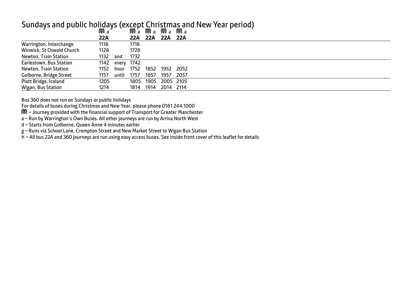#### Sundays and public holidays (except Christmas and New Year period)

| JUV a |       |      |            |           |                                                                                                             |
|-------|-------|------|------------|-----------|-------------------------------------------------------------------------------------------------------------|
| 22A   |       |      |            |           |                                                                                                             |
| 1116  |       | 1716 |            |           |                                                                                                             |
| 1128  |       | 1728 |            |           |                                                                                                             |
| 1132  | and   | 1732 |            |           |                                                                                                             |
|       |       |      |            |           |                                                                                                             |
| 1152  | hour  |      |            |           |                                                                                                             |
| 1157  | until | 1757 | 1857       | 1957 2057 |                                                                                                             |
| 1205  |       |      |            |           |                                                                                                             |
| 1214  |       |      |            |           |                                                                                                             |
|       |       | 1142 | every 1742 |           | JULA JULA JULA JULA<br>22A 22A 22A 22A<br>1752 1852 1952 2052<br>1805 1905 2005 2105<br>1814 1914 2014 2114 |

Bus 360 does not run on Sundays or public holidays

For details of buses during Christmas and New Year, please phone 0161 244 1000

M – Journey provided with the financial support of Transport for Greater Manchester

a – Run by Warrington's Own Buses. All other journeys are run by Arriva North West

d – Starts from Golborne, Queen Anne 4 minutes earlier

g – Runs via School Lane, Crompton Street and New Market Street to Wigan Bus Station

 $\tilde{\Phi}$  – All bus 22A and 360 journeys are run using easy access buses. See inside front cover of this leaflet for details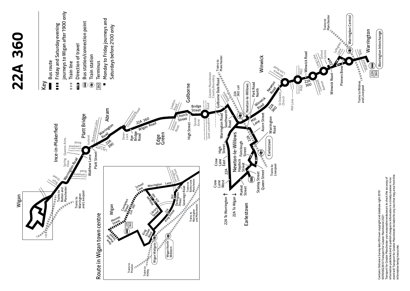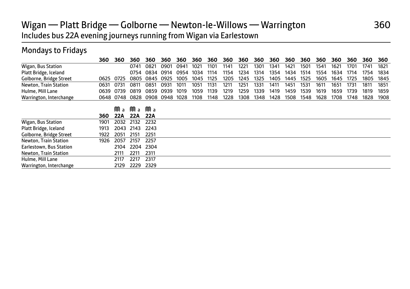# Wigan — Platt Bridge — Golborne — Newton-le-Willows — Warrington 360 Includes bus 22A evening journeys running from Wigan via Earlestown

#### Mondays to Fridays

|                         | 360  | 360       | 360  | 360  | 360  | 360  | 360  | 360  | 360  | 360  | 360  | 360  | 360  | 360  | 360  | 360  | 360  | 360  | 360  |
|-------------------------|------|-----------|------|------|------|------|------|------|------|------|------|------|------|------|------|------|------|------|------|
| Wigan, Bus Station      |      |           | 0741 | 0821 | 0901 | 0941 | 1021 | 1101 | 1141 | 1221 | 1301 | 1341 | 1421 | 1501 | 1541 | 1621 | 1701 | 1741 | 1821 |
| Platt Bridge, Iceland   |      |           | 0754 | 0834 | 0914 | 0954 | 1034 | 1114 | 1154 | 1234 | 1314 | 1354 | 1434 | 1514 | 1554 | 1634 | 1714 | 1754 | 1834 |
| Golborne, Bridge Street | 0625 | 0725      | 0805 | 0845 | 0925 | 1005 | 1045 | 1125 | 1205 | 1245 | 1325 | 1405 | 1445 | 1525 | 1605 | 1645 | 1725 | 1805 | 1845 |
| Newton, Train Station   | 0631 | 0731      | 0811 | 0851 | 0931 | 1011 | 1051 | 1131 | 1211 | 1251 | 1331 | 1411 | 1451 | 1531 | 1611 | 1651 | 1731 | 1811 | 1851 |
| Hulme, Mill Lane        | 0639 | 0739      | 0819 | 0859 | 0939 | 1019 | 1059 | 1139 | 1219 | 1259 | 1339 | 1419 | 1459 | 1539 | 1619 | 1659 | 1739 | 1819 | 1859 |
| Warrington, Interchange |      | 0648 0748 | 0828 | 0908 | 0948 | 1028 | 1108 | 1148 | 1228 | 1308 | 1348 | 1428 | 1508 | 1548 | 1628 | 1708 | 1748 | 1828 | 1908 |
|                         |      | Ma        | Ma   | Ma   |      |      |      |      |      |      |      |      |      |      |      |      |      |      |      |
|                         | 360  | 22A       | 22A  | 22A  |      |      |      |      |      |      |      |      |      |      |      |      |      |      |      |
| Wigan, Bus Station      | 1901 | 2032      | 2132 | 2232 |      |      |      |      |      |      |      |      |      |      |      |      |      |      |      |
| Platt Bridge, Iceland   | 1913 | 2043      | 2143 | 2243 |      |      |      |      |      |      |      |      |      |      |      |      |      |      |      |
| Golborne, Bridge Street | 1922 | 2051      | 2151 | 2251 |      |      |      |      |      |      |      |      |      |      |      |      |      |      |      |
| Newton, Train Station   | 1926 | 2057      | 2157 | 2257 |      |      |      |      |      |      |      |      |      |      |      |      |      |      |      |
| Earlestown, Bus Station |      | 2104      | 2204 | 2304 |      |      |      |      |      |      |      |      |      |      |      |      |      |      |      |
| Newton, Train Station   |      | 2111      | 2211 | 2311 |      |      |      |      |      |      |      |      |      |      |      |      |      |      |      |
| Hulme, Mill Lane        |      | 2117      | 2217 | 2317 |      |      |      |      |      |      |      |      |      |      |      |      |      |      |      |
| Warrington, Interchange |      | 2129      | 2229 | 2329 |      |      |      |      |      |      |      |      |      |      |      |      |      |      |      |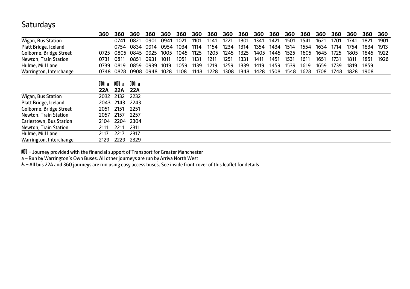### **Saturdays**

|                         | 360  | 360  | 360  | 360  | 360  | 360  | 360  | 360  | 360  | 360  | 360  | 360  | 360  | 360  | 360  | 360  | 360  | 360  | 360  |
|-------------------------|------|------|------|------|------|------|------|------|------|------|------|------|------|------|------|------|------|------|------|
| Wigan, Bus Station      |      | 0741 | 0821 | 0901 | 0941 | 1021 | 1101 | 1141 | 1221 | 1301 | 1341 | 1421 | 1501 | 1541 | 1621 | 1701 | 1741 | 1821 | 1901 |
| Platt Bridge, Iceland   |      | 0754 | 0834 | 0914 | 0954 | 1034 | 1114 | 1154 | 1234 | 1314 | 1354 | 1434 | 1514 | 1554 | 1634 | 1714 | 1754 | 1834 | 1913 |
| Golborne, Bridge Street | 0725 | 0805 | 0845 | 0925 | 1005 | 1045 | 1125 | 1205 | 1245 | 1325 | 1405 | 1445 | 1525 | 1605 | 1645 | 1725 | 1805 | 1845 | 1922 |
| Newton, Train Station   | 0731 | 0811 | 0851 | 0931 | 1011 | 1051 | 1131 | 1211 | 1251 | 1331 | 1411 | 1451 | 1531 | 1611 | 1651 | 1731 | 1811 | 1851 | 1926 |
| Hulme, Mill Lane        | 0739 | 0819 | 0859 | 0939 | 1019 | 1059 | 1139 | 1219 | 1259 | 1339 | 1419 | 1459 | 1539 | 1619 | 1659 | 1739 | 1819 | 1859 |      |
| Warrington, Interchange | 0748 | 0828 | 0908 | 0948 | 1028 | 1108 | 1148 | 1228 | 1308 | 1348 | 1428 | 1508 | 1548 | 1628 | 1708 | 1748 | 1828 | 1908 |      |
|                         | Ma   | Ma   | Ma   |      |      |      |      |      |      |      |      |      |      |      |      |      |      |      |      |
|                         | 22A  | 22A  | 22A  |      |      |      |      |      |      |      |      |      |      |      |      |      |      |      |      |
| Wigan, Bus Station      | 2032 | 2132 | 2232 |      |      |      |      |      |      |      |      |      |      |      |      |      |      |      |      |
| Platt Bridge, Iceland   | 2043 | 2143 | 2243 |      |      |      |      |      |      |      |      |      |      |      |      |      |      |      |      |
| Golborne, Bridge Street | 2051 | 2151 | 2251 |      |      |      |      |      |      |      |      |      |      |      |      |      |      |      |      |
| Newton, Train Station   | 2057 | 2157 | 2257 |      |      |      |      |      |      |      |      |      |      |      |      |      |      |      |      |
| Earlestown, Bus Station | 2104 | 2204 | 2304 |      |      |      |      |      |      |      |      |      |      |      |      |      |      |      |      |
| Newton, Train Station   | 2111 | 2211 | 2311 |      |      |      |      |      |      |      |      |      |      |      |      |      |      |      |      |
| Hulme, Mill Lane        | 2117 | 2217 | 2317 |      |      |      |      |      |      |      |      |      |      |      |      |      |      |      |      |
| Warrington, Interchange | 2129 | 2229 | 2329 |      |      |      |      |      |      |      |      |      |      |      |      |      |      |      |      |

M – Journey provided with the financial support of Transport for Greater Manchester

a – Run by Warrington's Own Buses. All other journeys are run by Arriva North West<br>& – All bus 22A and 360 journeys are run using easy access buses. See inside front cover of this leaflet for details